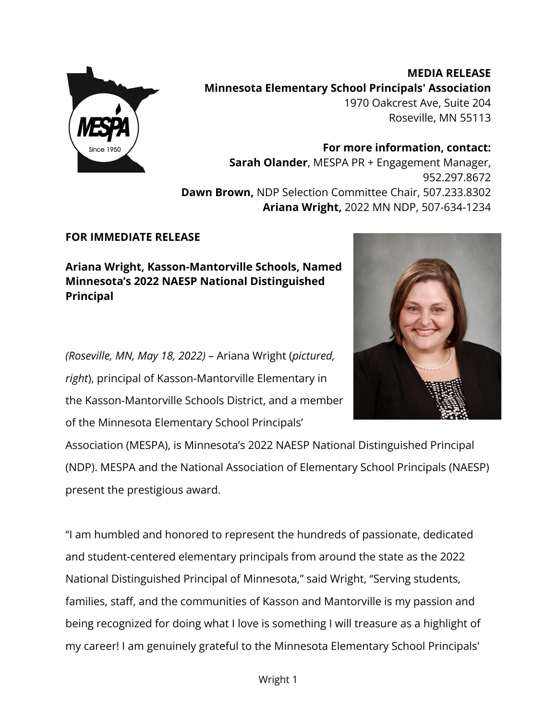

**MEDIA RELEASE Minnesota Elementary School Principals' Association** 1970 Oakcrest Ave, Suite 204 Roseville, MN 55113

**For more information, contact: Sarah Olander**, MESPA PR + Engagement Manager, 952.297.8672 **Dawn Brown,** NDP Selection Committee Chair, 507.233.8302 **Ariana Wright,** 2022 MN NDP, 507-634-1234

## **FOR IMMEDIATE RELEASE**

**Ariana Wright, Kasson-Mantorville Schools, Named Minnesota's 2022 NAESP National Distinguished Principal**

*(Roseville, MN, May 18, 2022)* – Ariana Wright (*pictured, right*), principal of Kasson-Mantorville Elementary in the Kasson-Mantorville Schools District, and a member of the Minnesota Elementary School Principals'



Association (MESPA), is Minnesota's 2022 NAESP National Distinguished Principal (NDP). MESPA and the National Association of Elementary School Principals (NAESP) present the prestigious award.

"I am humbled and honored to represent the hundreds of passionate, dedicated and student-centered elementary principals from around the state as the 2022 National Distinguished Principal of Minnesota," said Wright, "Serving students, families, staff, and the communities of Kasson and Mantorville is my passion and being recognized for doing what I love is something I will treasure as a highlight of my career! I am genuinely grateful to the Minnesota Elementary School Principals'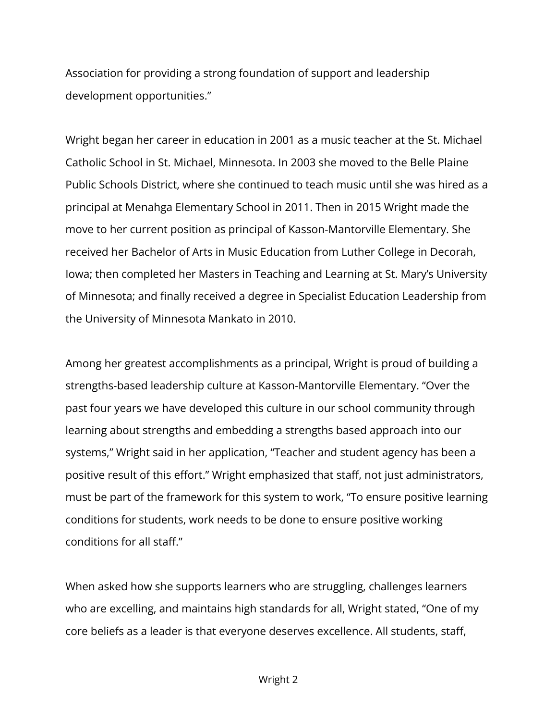Association for providing a strong foundation of support and leadership development opportunities."

Wright began her career in education in 2001 as a music teacher at the St. Michael Catholic School in St. Michael, Minnesota. In 2003 she moved to the Belle Plaine Public Schools District, where she continued to teach music until she was hired as a principal at Menahga Elementary School in 2011. Then in 2015 Wright made the move to her current position as principal of Kasson-Mantorville Elementary. She received her Bachelor of Arts in Music Education from Luther College in Decorah, Iowa; then completed her Masters in Teaching and Learning at St. Mary's University of Minnesota; and finally received a degree in Specialist Education Leadership from the University of Minnesota Mankato in 2010.

Among her greatest accomplishments as a principal, Wright is proud of building a strengths-based leadership culture at Kasson-Mantorville Elementary. "Over the past four years we have developed this culture in our school community through learning about strengths and embedding a strengths based approach into our systems," Wright said in her application, "Teacher and student agency has been a positive result of this effort." Wright emphasized that staff, not just administrators, must be part of the framework for this system to work, "To ensure positive learning conditions for students, work needs to be done to ensure positive working conditions for all staff."

When asked how she supports learners who are struggling, challenges learners who are excelling, and maintains high standards for all, Wright stated, "One of my core beliefs as a leader is that everyone deserves excellence. All students, staff,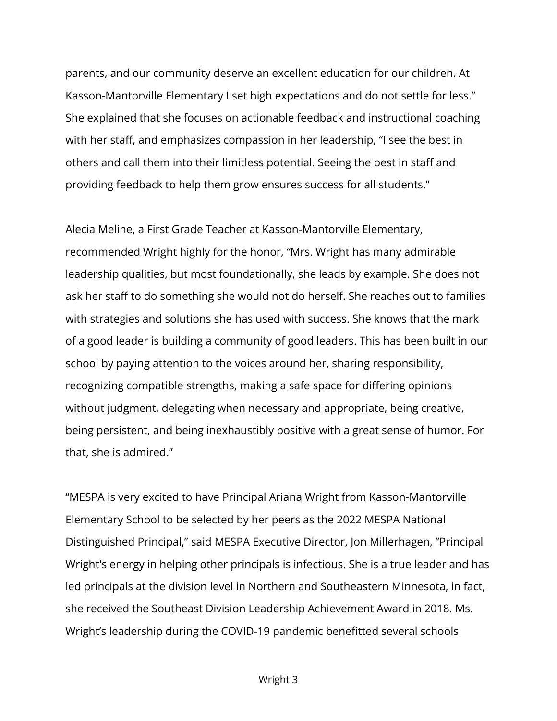parents, and our community deserve an excellent education for our children. At Kasson-Mantorville Elementary I set high expectations and do not settle for less." She explained that she focuses on actionable feedback and instructional coaching with her staff, and emphasizes compassion in her leadership, "I see the best in others and call them into their limitless potential. Seeing the best in staff and providing feedback to help them grow ensures success for all students."

Alecia Meline, a First Grade Teacher at Kasson-Mantorville Elementary, recommended Wright highly for the honor, "Mrs. Wright has many admirable leadership qualities, but most foundationally, she leads by example. She does not ask her staff to do something she would not do herself. She reaches out to families with strategies and solutions she has used with success. She knows that the mark of a good leader is building a community of good leaders. This has been built in our school by paying attention to the voices around her, sharing responsibility, recognizing compatible strengths, making a safe space for differing opinions without judgment, delegating when necessary and appropriate, being creative, being persistent, and being inexhaustibly positive with a great sense of humor. For that, she is admired."

"MESPA is very excited to have Principal Ariana Wright from Kasson-Mantorville Elementary School to be selected by her peers as the 2022 MESPA National Distinguished Principal," said MESPA Executive Director, Jon Millerhagen, "Principal Wright's energy in helping other principals is infectious. She is a true leader and has led principals at the division level in Northern and Southeastern Minnesota, in fact, she received the Southeast Division Leadership Achievement Award in 2018. Ms. Wright's leadership during the COVID-19 pandemic benefitted several schools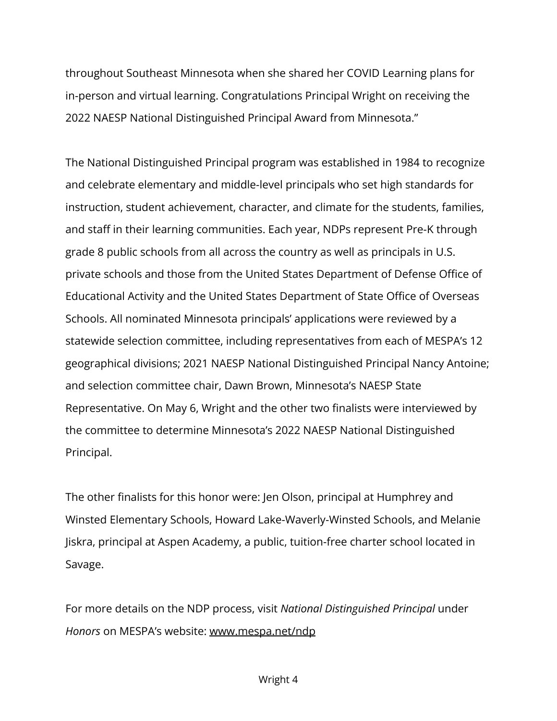throughout Southeast Minnesota when she shared her COVID Learning plans for in-person and virtual learning. Congratulations Principal Wright on receiving the 2022 NAESP National Distinguished Principal Award from Minnesota."

The National Distinguished Principal program was established in 1984 to recognize and celebrate elementary and middle-level principals who set high standards for instruction, student achievement, character, and climate for the students, families, and staff in their learning communities. Each year, NDPs represent Pre-K through grade 8 public schools from all across the country as well as principals in U.S. private schools and those from the United States Department of Defense Office of Educational Activity and the United States Department of State Office of Overseas Schools. All nominated Minnesota principals' applications were reviewed by a statewide selection committee, including representatives from each of MESPA's 12 geographical divisions; 2021 NAESP National Distinguished Principal Nancy Antoine; and selection committee chair, Dawn Brown, Minnesota's NAESP State Representative. On May 6, Wright and the other two finalists were interviewed by the committee to determine Minnesota's 2022 NAESP National Distinguished Principal.

The other finalists for this honor were: Jen Olson, principal at Humphrey and Winsted Elementary Schools, Howard Lake-Waverly-Winsted Schools, and Melanie Jiskra, principal at Aspen Academy, a public, tuition-free charter school located in Savage.

For more details on the NDP process, visit *National Distinguished Principal* under *Honors* on MESPA's website: [www.mespa.net/ndp](http://www.mespa.net/ndp)